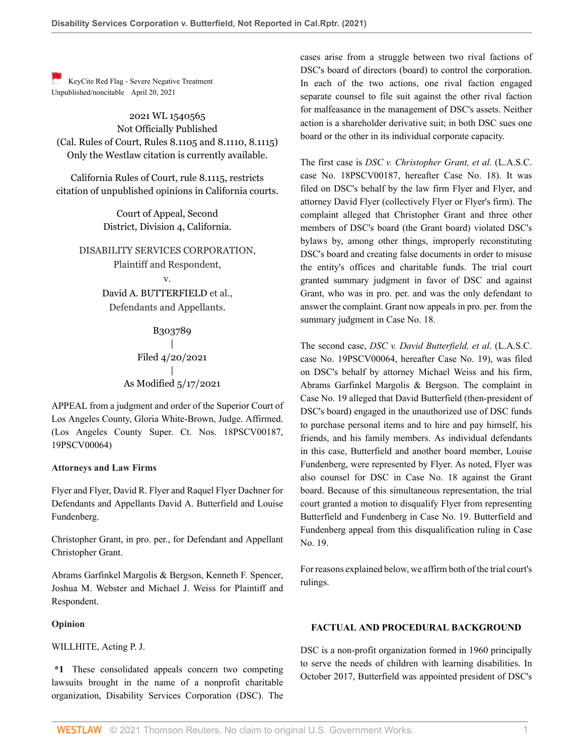[K](https://1.next.westlaw.com/Link/RelatedInformation/Flag?transitionType=Document&originationContext=docHeaderFlag&Rank=0&contextData=(sc.Default) )eyCite Red Flag - Severe Negative Treatment Unpublished/noncitable April 20, 2021

2021 WL 1540565 Not Officially Published (Cal. Rules of Court, Rules 8.1105 and 8.1110, 8.1115) Only the Westlaw citation is currently available.

California Rules of Court, rule 8.1115, restricts citation of unpublished opinions in California courts.

> Court of Appeal, Second District, Division 4, California.

DISABILITY SERVICES CORPORATION, Plaintiff and Respondent,

> v. [David A. BUTTERFIELD](http://www.westlaw.com/Search/Results.html?query=advanced%3a+OAID(5008314808)&saveJuris=False&contentType=BUSINESS-INVESTIGATOR&startIndex=1&contextData=(sc.Default)&categoryPageUrl=Home%2fCompanyInvestigator&originationContext=document&vr=3.0&rs=cblt1.0&transitionType=DocumentItem) et al., Defendants and Appellants.

> > B303789 | Filed 4/20/2021 | As Modified 5/17/2021

APPEAL from a judgment and order of the Superior Court of Los Angeles County, [Gloria White-Brown,](http://www.westlaw.com/Link/Document/FullText?findType=h&pubNum=176284&cite=0333476601&originatingDoc=I61d52a00a22d11ebb59191cef82ec18e&refType=RQ&originationContext=document&vr=3.0&rs=cblt1.0&transitionType=DocumentItem&contextData=(sc.Default)) Judge. Affirmed. (Los Angeles County Super. Ct. Nos. 18PSCV00187, 19PSCV00064)

# **Attorneys and Law Firms**

Flyer and Flyer, [David R. Flyer](http://www.westlaw.com/Link/Document/FullText?findType=h&pubNum=176284&cite=0121323701&originatingDoc=I61d52a00a22d11ebb59191cef82ec18e&refType=RQ&originationContext=document&vr=3.0&rs=cblt1.0&transitionType=DocumentItem&contextData=(sc.Default)) and Raquel Flyer Dachner for Defendants and Appellants [David A. Butterfield](http://www.westlaw.com/Link/Document/FullText?findType=h&pubNum=176284&cite=0293977001&originatingDoc=I61d52a00a22d11ebb59191cef82ec18e&refType=RQ&originationContext=document&vr=3.0&rs=cblt1.0&transitionType=DocumentItem&contextData=(sc.Default)) and Louise Fundenberg.

Christopher Grant, in pro. per., for Defendant and Appellant Christopher Grant.

Abrams Garfinkel Margolis & Bergson, [Kenneth F. Spencer](http://www.westlaw.com/Link/Document/FullText?findType=h&pubNum=176284&cite=0337163301&originatingDoc=I61d52a00a22d11ebb59191cef82ec18e&refType=RQ&originationContext=document&vr=3.0&rs=cblt1.0&transitionType=DocumentItem&contextData=(sc.Default)), [Joshua M. Webster](http://www.westlaw.com/Link/Document/FullText?findType=h&pubNum=176284&cite=0498031701&originatingDoc=I61d52a00a22d11ebb59191cef82ec18e&refType=RQ&originationContext=document&vr=3.0&rs=cblt1.0&transitionType=DocumentItem&contextData=(sc.Default)) and [Michael J. Weiss](http://www.westlaw.com/Link/Document/FullText?findType=h&pubNum=176284&cite=0320407001&originatingDoc=I61d52a00a22d11ebb59191cef82ec18e&refType=RQ&originationContext=document&vr=3.0&rs=cblt1.0&transitionType=DocumentItem&contextData=(sc.Default)) for Plaintiff and Respondent.

# **Opinion**

[WILLHITE,](http://www.westlaw.com/Link/Document/FullText?findType=h&pubNum=176284&cite=0184614001&originatingDoc=I61d52a00a22d11ebb59191cef82ec18e&refType=RQ&originationContext=document&vr=3.0&rs=cblt1.0&transitionType=DocumentItem&contextData=(sc.Default)) Acting P. J.

**\*1** These consolidated appeals concern two competing lawsuits brought in the name of a nonprofit charitable organization, Disability Services Corporation (DSC). The

cases arise from a struggle between two rival factions of DSC's board of directors (board) to control the corporation. In each of the two actions, one rival faction engaged separate counsel to file suit against the other rival faction for malfeasance in the management of DSC's assets. Neither action is a shareholder derivative suit; in both DSC sues one board or the other in its individual corporate capacity.

The first case is *DSC v. Christopher Grant, et al.* (L.A.S.C. case No. 18PSCV00187, hereafter Case No. 18). It was filed on DSC's behalf by the law firm Flyer and Flyer, and attorney David Flyer (collectively Flyer or Flyer's firm). The complaint alleged that Christopher Grant and three other members of DSC's board (the Grant board) violated DSC's bylaws by, among other things, improperly reconstituting DSC's board and creating false documents in order to misuse the entity's offices and charitable funds. The trial court granted summary judgment in favor of DSC and against Grant, who was in pro. per. and was the only defendant to answer the complaint. Grant now appeals in pro. per. from the summary judgment in Case No. 18.

The second case, *DSC v. David Butterfield, et al*. (L.A.S.C. case No. 19PSCV00064, hereafter Case No. 19), was filed on DSC's behalf by attorney Michael Weiss and his firm, Abrams Garfinkel Margolis & Bergson. The complaint in Case No. 19 alleged that David Butterfield (then-president of DSC's board) engaged in the unauthorized use of DSC funds to purchase personal items and to hire and pay himself, his friends, and his family members. As individual defendants in this case, Butterfield and another board member, Louise Fundenberg, were represented by Flyer. As noted, Flyer was also counsel for DSC in Case No. 18 against the Grant board. Because of this simultaneous representation, the trial court granted a motion to disqualify Flyer from representing Butterfield and Fundenberg in Case No. 19. Butterfield and Fundenberg appeal from this disqualification ruling in Case No. 19.

For reasons explained below, we affirm both of the trial court's rulings.

#### **FACTUAL AND PROCEDURAL BACKGROUND**

DSC is a non-profit organization formed in 1960 principally to serve the needs of children with learning disabilities. In October 2017, Butterfield was appointed president of DSC's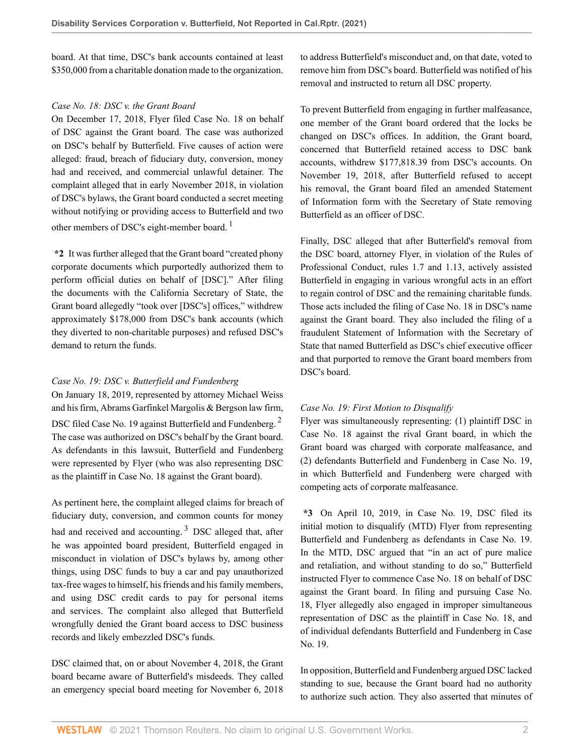board. At that time, DSC's bank accounts contained at least \$350,000 from a charitable donation made to the organization.

# *Case No. 18: DSC v. the Grant Board*

On December 17, 2018, Flyer filed Case No. 18 on behalf of DSC against the Grant board. The case was authorized on DSC's behalf by Butterfield. Five causes of action were alleged: fraud, breach of fiduciary duty, conversion, money had and received, and commercial unlawful detainer. The complaint alleged that in early November 2018, in violation of DSC's bylaws, the Grant board conducted a secret meeting without notifying or providing access to Butterfield and two other members of DSC's eight-member board.<sup>[1](#page-7-0)</sup>

**\*2** It was further alleged that the Grant board "created phony corporate documents which purportedly authorized them to perform official duties on behalf of [DSC]." After filing the documents with the California Secretary of State, the Grant board allegedly "took over [DSC's] offices," withdrew approximately \$178,000 from DSC's bank accounts (which they diverted to non-charitable purposes) and refused DSC's demand to return the funds.

# *Case No. 19: DSC v. Butterfield and Fundenberg*

On January 18, 2019, represented by attorney Michael Weiss and his firm, Abrams Garfinkel Margolis & Bergson law firm, DSC filed Case No. 19 against Butterfield and Fundenberg.<sup>[2](#page-7-1)</sup> The case was authorized on DSC's behalf by the Grant board. As defendants in this lawsuit, Butterfield and Fundenberg were represented by Flyer (who was also representing DSC as the plaintiff in Case No. 18 against the Grant board).

As pertinent here, the complaint alleged claims for breach of fiduciary duty, conversion, and common counts for money had and received and accounting.<sup>[3](#page-7-2)</sup> DSC alleged that, after he was appointed board president, Butterfield engaged in misconduct in violation of DSC's bylaws by, among other things, using DSC funds to buy a car and pay unauthorized tax-free wages to himself, his friends and his family members, and using DSC credit cards to pay for personal items and services. The complaint also alleged that Butterfield wrongfully denied the Grant board access to DSC business records and likely embezzled DSC's funds.

DSC claimed that, on or about November 4, 2018, the Grant board became aware of Butterfield's misdeeds. They called an emergency special board meeting for November 6, 2018 to address Butterfield's misconduct and, on that date, voted to remove him from DSC's board. Butterfield was notified of his removal and instructed to return all DSC property.

To prevent Butterfield from engaging in further malfeasance, one member of the Grant board ordered that the locks be changed on DSC's offices. In addition, the Grant board, concerned that Butterfield retained access to DSC bank accounts, withdrew \$177,818.39 from DSC's accounts. On November 19, 2018, after Butterfield refused to accept his removal, the Grant board filed an amended Statement of Information form with the Secretary of State removing Butterfield as an officer of DSC.

<span id="page-1-0"></span>Finally, DSC alleged that after Butterfield's removal from the DSC board, attorney Flyer, in violation of the [Rules of](http://www.westlaw.com/Link/Document/FullText?findType=L&pubNum=1003711&cite=CASTRPCR1.7&originatingDoc=I61d52a00a22d11ebb59191cef82ec18e&refType=LQ&originationContext=document&vr=3.0&rs=cblt1.0&transitionType=DocumentItem&contextData=(sc.Default)) [Professional Conduct, rules 1.7](http://www.westlaw.com/Link/Document/FullText?findType=L&pubNum=1003711&cite=CASTRPCR1.7&originatingDoc=I61d52a00a22d11ebb59191cef82ec18e&refType=LQ&originationContext=document&vr=3.0&rs=cblt1.0&transitionType=DocumentItem&contextData=(sc.Default)) and [1.13,](http://www.westlaw.com/Link/Document/FullText?findType=L&pubNum=1003711&cite=CASTRPCR1.13&originatingDoc=I61d52a00a22d11ebb59191cef82ec18e&refType=LQ&originationContext=document&vr=3.0&rs=cblt1.0&transitionType=DocumentItem&contextData=(sc.Default)) actively assisted Butterfield in engaging in various wrongful acts in an effort to regain control of DSC and the remaining charitable funds. Those acts included the filing of Case No. 18 in DSC's name against the Grant board. They also included the filing of a fraudulent Statement of Information with the Secretary of State that named Butterfield as DSC's chief executive officer and that purported to remove the Grant board members from DSC's board.

# *Case No. 19: First Motion to Disqualify*

<span id="page-1-1"></span>Flyer was simultaneously representing: (1) plaintiff DSC in Case No. 18 against the rival Grant board, in which the Grant board was charged with corporate malfeasance, and (2) defendants Butterfield and Fundenberg in Case No. 19, in which Butterfield and Fundenberg were charged with competing acts of corporate malfeasance.

<span id="page-1-2"></span>**\*3** On April 10, 2019, in Case No. 19, DSC filed its initial motion to disqualify (MTD) Flyer from representing Butterfield and Fundenberg as defendants in Case No. 19. In the MTD, DSC argued that "in an act of pure malice and retaliation, and without standing to do so," Butterfield instructed Flyer to commence Case No. 18 on behalf of DSC against the Grant board. In filing and pursuing Case No. 18, Flyer allegedly also engaged in improper simultaneous representation of DSC as the plaintiff in Case No. 18, and of individual defendants Butterfield and Fundenberg in Case No. 19.

In opposition, Butterfield and Fundenberg argued DSC lacked standing to sue, because the Grant board had no authority to authorize such action. They also asserted that minutes of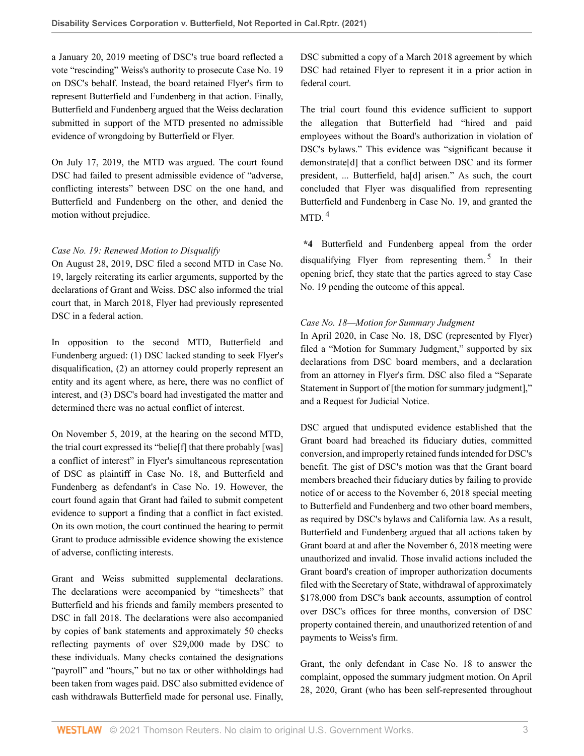a January 20, 2019 meeting of DSC's true board reflected a vote "rescinding" Weiss's authority to prosecute Case No. 19 on DSC's behalf. Instead, the board retained Flyer's firm to represent Butterfield and Fundenberg in that action. Finally, Butterfield and Fundenberg argued that the Weiss declaration submitted in support of the MTD presented no admissible evidence of wrongdoing by Butterfield or Flyer.

On July 17, 2019, the MTD was argued. The court found DSC had failed to present admissible evidence of "adverse, conflicting interests" between DSC on the one hand, and Butterfield and Fundenberg on the other, and denied the motion without prejudice.

# *Case No. 19: Renewed Motion to Disqualify*

On August 28, 2019, DSC filed a second MTD in Case No. 19, largely reiterating its earlier arguments, supported by the declarations of Grant and Weiss. DSC also informed the trial court that, in March 2018, Flyer had previously represented DSC in a federal action.

In opposition to the second MTD, Butterfield and Fundenberg argued: (1) DSC lacked standing to seek Flyer's disqualification, (2) an attorney could properly represent an entity and its agent where, as here, there was no conflict of interest, and (3) DSC's board had investigated the matter and determined there was no actual conflict of interest.

On November 5, 2019, at the hearing on the second MTD, the trial court expressed its "belie[f] that there probably [was] a conflict of interest" in Flyer's simultaneous representation of DSC as plaintiff in Case No. 18, and Butterfield and Fundenberg as defendant's in Case No. 19. However, the court found again that Grant had failed to submit competent evidence to support a finding that a conflict in fact existed. On its own motion, the court continued the hearing to permit Grant to produce admissible evidence showing the existence of adverse, conflicting interests.

Grant and Weiss submitted supplemental declarations. The declarations were accompanied by "timesheets" that Butterfield and his friends and family members presented to DSC in fall 2018. The declarations were also accompanied by copies of bank statements and approximately 50 checks reflecting payments of over \$29,000 made by DSC to these individuals. Many checks contained the designations "payroll" and "hours," but no tax or other withholdings had been taken from wages paid. DSC also submitted evidence of cash withdrawals Butterfield made for personal use. Finally,

DSC submitted a copy of a March 2018 agreement by which DSC had retained Flyer to represent it in a prior action in federal court.

The trial court found this evidence sufficient to support the allegation that Butterfield had "hired and paid employees without the Board's authorization in violation of DSC's bylaws." This evidence was "significant because it demonstrate[d] that a conflict between DSC and its former president, ... Butterfield, ha[d] arisen." As such, the court concluded that Flyer was disqualified from representing Butterfield and Fundenberg in Case No. 19, and granted the MTD $<sup>4</sup>$  $<sup>4</sup>$  $<sup>4</sup>$ </sup>

<span id="page-2-1"></span><span id="page-2-0"></span>**\*4** Butterfield and Fundenberg appeal from the order disqualifying Flyer from representing them.<sup>[5](#page-7-4)</sup> In their opening brief, they state that the parties agreed to stay Case No. 19 pending the outcome of this appeal.

# *Case No. 18—Motion for Summary Judgment*

In April 2020, in Case No. 18, DSC (represented by Flyer) filed a "Motion for Summary Judgment," supported by six declarations from DSC board members, and a declaration from an attorney in Flyer's firm. DSC also filed a "Separate Statement in Support of [the motion for summary judgment]," and a Request for Judicial Notice.

DSC argued that undisputed evidence established that the Grant board had breached its fiduciary duties, committed conversion, and improperly retained funds intended for DSC's benefit. The gist of DSC's motion was that the Grant board members breached their fiduciary duties by failing to provide notice of or access to the November 6, 2018 special meeting to Butterfield and Fundenberg and two other board members, as required by DSC's bylaws and California law. As a result, Butterfield and Fundenberg argued that all actions taken by Grant board at and after the November 6, 2018 meeting were unauthorized and invalid. Those invalid actions included the Grant board's creation of improper authorization documents filed with the Secretary of State, withdrawal of approximately \$178,000 from DSC's bank accounts, assumption of control over DSC's offices for three months, conversion of DSC property contained therein, and unauthorized retention of and payments to Weiss's firm.

Grant, the only defendant in Case No. 18 to answer the complaint, opposed the summary judgment motion. On April 28, 2020, Grant (who has been self-represented throughout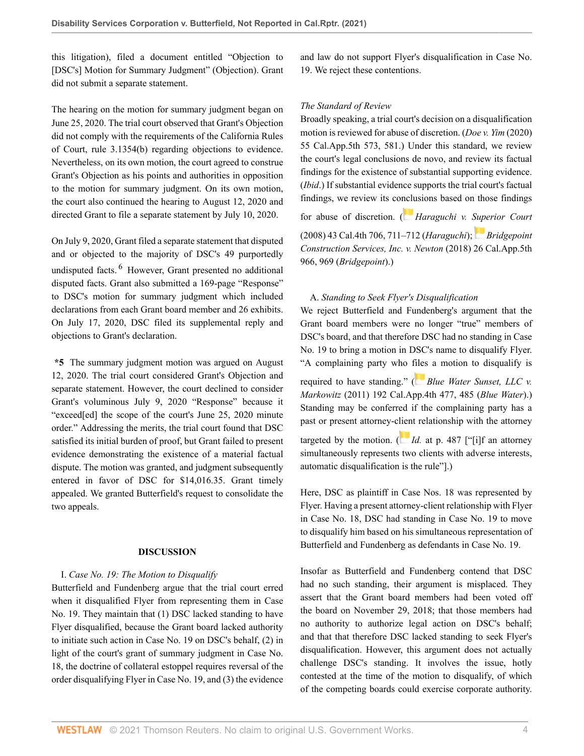this litigation), filed a document entitled "Objection to [DSC's] Motion for Summary Judgment" (Objection). Grant did not submit a separate statement.

The hearing on the motion for summary judgment began on June 25, 2020. The trial court observed that Grant's Objection did not comply with the requirements of the [California Rules](http://www.westlaw.com/Link/Document/FullText?findType=L&pubNum=1085226&cite=CASTCIVLR3.1354&originatingDoc=I61d52a00a22d11ebb59191cef82ec18e&refType=SP&originationContext=document&vr=3.0&rs=cblt1.0&transitionType=DocumentItem&contextData=(sc.Default)#co_pp_a83b000018c76) [of Court, rule 3.1354\(b\)](http://www.westlaw.com/Link/Document/FullText?findType=L&pubNum=1085226&cite=CASTCIVLR3.1354&originatingDoc=I61d52a00a22d11ebb59191cef82ec18e&refType=SP&originationContext=document&vr=3.0&rs=cblt1.0&transitionType=DocumentItem&contextData=(sc.Default)#co_pp_a83b000018c76) regarding objections to evidence. Nevertheless, on its own motion, the court agreed to construe Grant's Objection as his points and authorities in opposition to the motion for summary judgment. On its own motion, the court also continued the hearing to August 12, 2020 and directed Grant to file a separate statement by July 10, 2020.

<span id="page-3-0"></span>On July 9, 2020, Grant filed a separate statement that disputed and or objected to the majority of DSC's 49 purportedly undisputed facts. <sup>[6](#page-7-5)</sup> However, Grant presented no additional disputed facts. Grant also submitted a 169-page "Response" to DSC's motion for summary judgment which included declarations from each Grant board member and 26 exhibits. On July 17, 2020, DSC filed its supplemental reply and objections to Grant's declaration.

**\*5** The summary judgment motion was argued on August 12, 2020. The trial court considered Grant's Objection and separate statement. However, the court declined to consider Grant's voluminous July 9, 2020 "Response" because it "exceed[ed] the scope of the court's June 25, 2020 minute order." Addressing the merits, the trial court found that DSC satisfied its initial burden of proof, but Grant failed to present evidence demonstrating the existence of a material factual dispute. The motion was granted, and judgment subsequently entered in favor of DSC for \$14,016.35. Grant timely appealed. We granted Butterfield's request to consolidate the two appeals.

# **DISCUSSION**

# I. *Case No. 19: The Motion to Disqualify*

Butterfield and Fundenberg argue that the trial court erred when it disqualified Flyer from representing them in Case No. 19. They maintain that (1) DSC lacked standing to have Flyer disqualified, because the Grant board lacked authority to initiate such action in Case No. 19 on DSC's behalf, (2) in light of the court's grant of summary judgment in Case No. 18, the doctrine of collateral estoppel requires reversal of the order disqualifying Flyer in Case No. 19, and (3) the evidence and law do not support Flyer's disqualification in Case No. 19. We reject these contentions.

#### *The Standard of Review*

Broadly speaking, a trial court's decision on a disqualification motion is reviewed for abuse of discretion. (*[Doe v. Yim](http://www.westlaw.com/Link/Document/FullText?findType=Y&serNum=2052076838&pubNum=0007053&originatingDoc=I61d52a00a22d11ebb59191cef82ec18e&refType=RP&fi=co_pp_sp_7053_581&originationContext=document&vr=3.0&rs=cblt1.0&transitionType=DocumentItem&contextData=(sc.Default)#co_pp_sp_7053_581)* (2020) [55 Cal.App.5th 573, 581](http://www.westlaw.com/Link/Document/FullText?findType=Y&serNum=2052076838&pubNum=0007053&originatingDoc=I61d52a00a22d11ebb59191cef82ec18e&refType=RP&fi=co_pp_sp_7053_581&originationContext=document&vr=3.0&rs=cblt1.0&transitionType=DocumentItem&contextData=(sc.Default)#co_pp_sp_7053_581).) Under this standard, we review the court's legal conclusions de novo, and review its factual findings for the existence of substantial supporting evidence. (*Ibid*.) If substantial evidence supports the trial court's factual findings, we review its co[nclu](https://1.next.westlaw.com/Link/RelatedInformation/Flag?documentGuid=I69bf722b203611dd9876f446780b7bdc&transitionType=InlineKeyCiteFlags&originationContext=docHeaderFlag&Rank=0&contextData=(sc.Default) )sions based on those findings

for abuse of discretion. ( *[Haraguchi v. Superior Court](http://www.westlaw.com/Link/Document/FullText?findType=Y&serNum=2015992814&pubNum=0004040&originatingDoc=I61d52a00a22d11ebb59191cef82ec18e&refType=RP&fi=co_pp_sp_4040_711&originationContext=document&vr=3.0&rs=cblt1.0&transitionType=DocumentItem&contextData=(sc.Default)#co_pp_sp_4040_711)*

[\(2008\) 43 Cal.4th 706, 711–712](http://www.westlaw.com/Link/Document/FullText?findType=Y&serNum=2015992814&pubNum=0004040&originatingDoc=I61d52a00a22d11ebb59191cef82ec18e&refType=RP&fi=co_pp_sp_4040_711&originationContext=document&vr=3.0&rs=cblt1.0&transitionType=DocumentItem&contextData=(sc.Default)#co_pp_sp_4040_711) (*Haraguchi*); *[Bridgepoint](http://www.westlaw.com/Link/Document/FullText?findType=Y&serNum=2045427088&pubNum=0007053&originatingDoc=I61d52a00a22d11ebb59191cef82ec18e&refType=RP&fi=co_pp_sp_7053_969&originationContext=document&vr=3.0&rs=cblt1.0&transitionType=DocumentItem&contextData=(sc.Default)#co_pp_sp_7053_969) [Construction Services, Inc. v. Newton](http://www.westlaw.com/Link/Document/FullText?findType=Y&serNum=2045427088&pubNum=0007053&originatingDoc=I61d52a00a22d11ebb59191cef82ec18e&refType=RP&fi=co_pp_sp_7053_969&originationContext=document&vr=3.0&rs=cblt1.0&transitionType=DocumentItem&contextData=(sc.Default)#co_pp_sp_7053_969)* (2018) 26 Cal.App.5th [966, 969](http://www.westlaw.com/Link/Document/FullText?findType=Y&serNum=2045427088&pubNum=0007053&originatingDoc=I61d52a00a22d11ebb59191cef82ec18e&refType=RP&fi=co_pp_sp_7053_969&originationContext=document&vr=3.0&rs=cblt1.0&transitionType=DocumentItem&contextData=(sc.Default)#co_pp_sp_7053_969) (*Bridgepoint*).)

# A. *Standing to Seek Flyer's Disqualification*

We reject Butterfield and Fundenberg's argument that the Grant board members were no longer "true" members of DSC's board, and that therefore DSC had no standing in Case No. 19 to bring a motion in DSC's name to disqualify Flyer. "A complaining party who [files](https://1.next.westlaw.com/Link/RelatedInformation/Flag?documentGuid=I1cb857b62ee011e088699d6fd571daba&transitionType=InlineKeyCiteFlags&originationContext=docHeaderFlag&Rank=0&contextData=(sc.Default) ) a motion to disqualify is

required to have standing." ( *[Blue Water Sunset, LLC v.](http://www.westlaw.com/Link/Document/FullText?findType=Y&serNum=2024514526&pubNum=0004041&originatingDoc=I61d52a00a22d11ebb59191cef82ec18e&refType=RP&fi=co_pp_sp_4041_485&originationContext=document&vr=3.0&rs=cblt1.0&transitionType=DocumentItem&contextData=(sc.Default)#co_pp_sp_4041_485) Markowitz* [\(2011\) 192 Cal.App.4th 477, 485](http://www.westlaw.com/Link/Document/FullText?findType=Y&serNum=2024514526&pubNum=0004041&originatingDoc=I61d52a00a22d11ebb59191cef82ec18e&refType=RP&fi=co_pp_sp_4041_485&originationContext=document&vr=3.0&rs=cblt1.0&transitionType=DocumentItem&contextData=(sc.Default)#co_pp_sp_4041_485) (*Blue Water*).) Standing may be conferred if the complaining party has a past or present attorney-c[lien](https://1.next.westlaw.com/Link/RelatedInformation/Flag?documentGuid=I1cb857b62ee011e088699d6fd571daba&transitionType=InlineKeyCiteFlags&originationContext=docHeaderFlag&Rank=0&contextData=(sc.Default) )t relationship with the attorney targeted by the motion.  $\left(\right)$  *Id.* [at p. 487](http://www.westlaw.com/Link/Document/FullText?findType=Y&serNum=2024514526&pubNum=0004041&originatingDoc=I61d52a00a22d11ebb59191cef82ec18e&refType=RP&fi=co_pp_sp_4041_487&originationContext=document&vr=3.0&rs=cblt1.0&transitionType=DocumentItem&contextData=(sc.Default)#co_pp_sp_4041_487) ["[i]f an attorney simultaneously represents two clients with adverse interests, automatic disqualification is the rule"].)

Here, DSC as plaintiff in Case Nos. 18 was represented by Flyer. Having a present attorney-client relationship with Flyer in Case No. 18, DSC had standing in Case No. 19 to move to disqualify him based on his simultaneous representation of Butterfield and Fundenberg as defendants in Case No. 19.

Insofar as Butterfield and Fundenberg contend that DSC had no such standing, their argument is misplaced. They assert that the Grant board members had been voted off the board on November 29, 2018; that those members had no authority to authorize legal action on DSC's behalf; and that that therefore DSC lacked standing to seek Flyer's disqualification. However, this argument does not actually challenge DSC's standing. It involves the issue, hotly contested at the time of the motion to disqualify, of which of the competing boards could exercise corporate authority.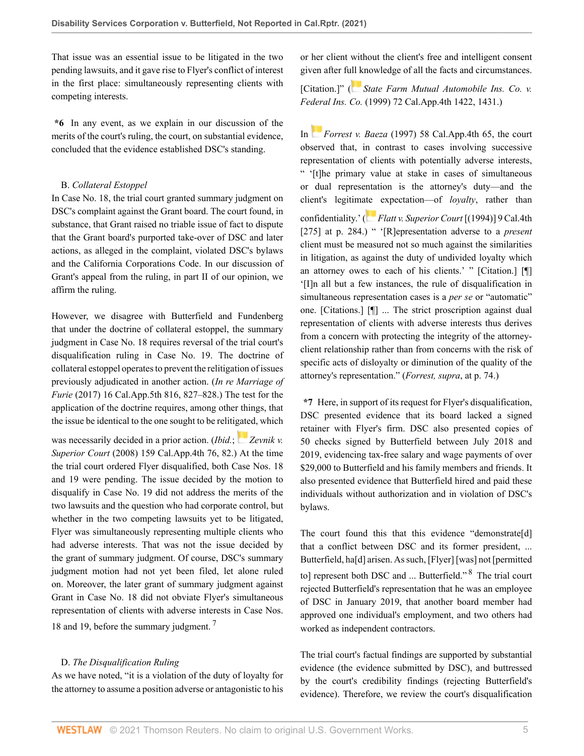That issue was an essential issue to be litigated in the two pending lawsuits, and it gave rise to Flyer's conflict of interest in the first place: simultaneously representing clients with competing interests.

**\*6** In any event, as we explain in our discussion of the merits of the court's ruling, the court, on substantial evidence, concluded that the evidence established DSC's standing.

# B. *Collateral Estoppel*

In Case No. 18, the trial court granted summary judgment on DSC's complaint against the Grant board. The court found, in substance, that Grant raised no triable issue of fact to dispute that the Grant board's purported take-over of DSC and later actions, as alleged in the complaint, violated DSC's bylaws and the California Corporations Code. In our discussion of Grant's appeal from the ruling, in part II of our opinion, we affirm the ruling.

However, we disagree with Butterfield and Fundenberg that under the doctrine of collateral estoppel, the summary judgment in Case No. 18 requires reversal of the trial court's disqualification ruling in Case No. 19. The doctrine of collateral estoppel operates to prevent the relitigation of issues previously adjudicated in another action. (*[In re Marriage of](http://www.westlaw.com/Link/Document/FullText?findType=Y&serNum=2042990499&pubNum=0007053&originatingDoc=I61d52a00a22d11ebb59191cef82ec18e&refType=RP&fi=co_pp_sp_7053_827&originationContext=document&vr=3.0&rs=cblt1.0&transitionType=DocumentItem&contextData=(sc.Default)#co_pp_sp_7053_827) Furie* [\(2017\) 16 Cal.App.5th 816, 827–828](http://www.westlaw.com/Link/Document/FullText?findType=Y&serNum=2042990499&pubNum=0007053&originatingDoc=I61d52a00a22d11ebb59191cef82ec18e&refType=RP&fi=co_pp_sp_7053_827&originationContext=document&vr=3.0&rs=cblt1.0&transitionType=DocumentItem&contextData=(sc.Default)#co_pp_sp_7053_827).) The test for the application of the doctrine requires, among other things, that the issue be identical to the one sought to be reliti[gate](https://1.next.westlaw.com/Link/RelatedInformation/Flag?documentGuid=I426514fbc5dc11dcbb72bbec4e175148&transitionType=InlineKeyCiteFlags&originationContext=docHeaderFlag&Rank=0&contextData=(sc.Default) )d, which

was necessarily decided in a prior action. *(Ibid.*; *[Zevnik v.](http://www.westlaw.com/Link/Document/FullText?findType=Y&serNum=2014769161&pubNum=0004041&originatingDoc=I61d52a00a22d11ebb59191cef82ec18e&refType=RP&fi=co_pp_sp_4041_82&originationContext=document&vr=3.0&rs=cblt1.0&transitionType=DocumentItem&contextData=(sc.Default)#co_pp_sp_4041_82)*) *Superior Court* [\(2008\) 159 Cal.App.4th 76, 82.](http://www.westlaw.com/Link/Document/FullText?findType=Y&serNum=2014769161&pubNum=0004041&originatingDoc=I61d52a00a22d11ebb59191cef82ec18e&refType=RP&fi=co_pp_sp_4041_82&originationContext=document&vr=3.0&rs=cblt1.0&transitionType=DocumentItem&contextData=(sc.Default)#co_pp_sp_4041_82)) At the time the trial court ordered Flyer disqualified, both Case Nos. 18 and 19 were pending. The issue decided by the motion to disqualify in Case No. 19 did not address the merits of the two lawsuits and the question who had corporate control, but whether in the two competing lawsuits yet to be litigated, Flyer was simultaneously representing multiple clients who had adverse interests. That was not the issue decided by the grant of summary judgment. Of course, DSC's summary judgment motion had not yet been filed, let alone ruled on. Moreover, the later grant of summary judgment against Grant in Case No. 18 did not obviate Flyer's simultaneous representation of clients with adverse interests in Case Nos. 18 and 19, before the summary judgment.<sup>[7](#page-7-6)</sup>

# D. *The Disqualification Ruling*

As we have noted, "it is a violation of the duty of loyalty for the attorney to assume a position adverse or antagonistic to his or her client without the client's free and intelligent consent given after f[ull k](https://1.next.westlaw.com/Link/RelatedInformation/Flag?documentGuid=I42031e0ffab711d98ac8f235252e36df&transitionType=InlineKeyCiteFlags&originationContext=docHeaderFlag&Rank=0&contextData=(sc.Default) )nowledge of all the facts and circumstances.

[Citation.]" ( *[State Farm Mutual Automobile Ins. Co. v.](http://www.westlaw.com/Link/Document/FullText?findType=Y&serNum=1999144218&pubNum=0004041&originatingDoc=I61d52a00a22d11ebb59191cef82ec18e&refType=RP&fi=co_pp_sp_4041_1431&originationContext=document&vr=3.0&rs=cblt1.0&transitionType=DocumentItem&contextData=(sc.Default)#co_pp_sp_4041_1431) Federal Ins. Co.* [\(1999\) 72 Cal.App.4th 1422, 1431](http://www.westlaw.com/Link/Document/FullText?findType=Y&serNum=1999144218&pubNum=0004041&originatingDoc=I61d52a00a22d11ebb59191cef82ec18e&refType=RP&fi=co_pp_sp_4041_1431&originationContext=document&vr=3.0&rs=cblt1.0&transitionType=DocumentItem&contextData=(sc.Default)#co_pp_sp_4041_1431).)

In *[F](https://1.next.westlaw.com/Link/RelatedInformation/Flag?documentGuid=Ic59086e5fab811d99439b076ef9ec4de&transitionType=InlineKeyCiteFlags&originationContext=docHeaderFlag&Rank=0&contextData=(sc.Default) )orrest v. Baeza* [\(1997\) 58 Cal.App.4th 65,](http://www.westlaw.com/Link/Document/FullText?findType=Y&serNum=1997200413&pubNum=0004041&originatingDoc=I61d52a00a22d11ebb59191cef82ec18e&refType=RP&originationContext=document&vr=3.0&rs=cblt1.0&transitionType=DocumentItem&contextData=(sc.Default)) the court observed that, in contrast to cases involving successive representation of clients with potentially adverse interests, " '[t]he primary value at stake in cases of simultaneous or dual representation is the attorney's duty—and the client's legitim[ate](https://1.next.westlaw.com/Link/RelatedInformation/Flag?documentGuid=Ica242dd5faba11d983e7e9deff98dc6f&transitionType=InlineKeyCiteFlags&originationContext=docHeaderFlag&Rank=0&contextData=(sc.Default) ) expectation—of *loyalty*, rather than confidentiality.' ( *[Flatt v. Superior Court](http://www.westlaw.com/Link/Document/FullText?findType=Y&serNum=1995020522&pubNum=0004040&originatingDoc=I61d52a00a22d11ebb59191cef82ec18e&refType=RP&fi=co_pp_sp_4040_284&originationContext=document&vr=3.0&rs=cblt1.0&transitionType=DocumentItem&contextData=(sc.Default)#co_pp_sp_4040_284)* [(1994)] 9 Cal.4th [\[275\] at p. 284.](http://www.westlaw.com/Link/Document/FullText?findType=Y&serNum=1995020522&pubNum=0004040&originatingDoc=I61d52a00a22d11ebb59191cef82ec18e&refType=RP&fi=co_pp_sp_4040_284&originationContext=document&vr=3.0&rs=cblt1.0&transitionType=DocumentItem&contextData=(sc.Default)#co_pp_sp_4040_284)) " '[R]epresentation adverse to a *present* client must be measured not so much against the similarities in litigation, as against the duty of undivided loyalty which an attorney owes to each of his clients.' " [Citation.] [¶] '[I]n all but a few instances, the rule of disqualification in simultaneous representation cases is a *per se* or "automatic" one. [Citations.] [¶] ... The strict proscription against dual representation of clients with adverse interests thus derives from a concern with protecting the integrity of the attorneyclient relationship rather than from concerns with the risk of specific acts of disloyalty or diminution of the quality of the attorney's representation." (*Forrest, supra*, at p. 74.)

**\*7** Here, in support of its request for Flyer's disqualification, DSC presented evidence that its board lacked a signed retainer with Flyer's firm. DSC also presented copies of 50 checks signed by Butterfield between July 2018 and 2019, evidencing tax-free salary and wage payments of over \$29,000 to Butterfield and his family members and friends. It also presented evidence that Butterfield hired and paid these individuals without authorization and in violation of DSC's bylaws.

<span id="page-4-1"></span>The court found this that this evidence "demonstrate[d] that a conflict between DSC and its former president, ... Butterfield, ha[d] arisen. As such, [Flyer] [was] not [permitted to] represent both DSC and ... Butterfield."<sup>[8](#page-7-7)</sup> The trial court rejected Butterfield's representation that he was an employee of DSC in January 2019, that another board member had approved one individual's employment, and two others had worked as independent contractors.

<span id="page-4-0"></span>The trial court's factual findings are supported by substantial evidence (the evidence submitted by DSC), and buttressed by the court's credibility findings (rejecting Butterfield's evidence). Therefore, we review the court's disqualification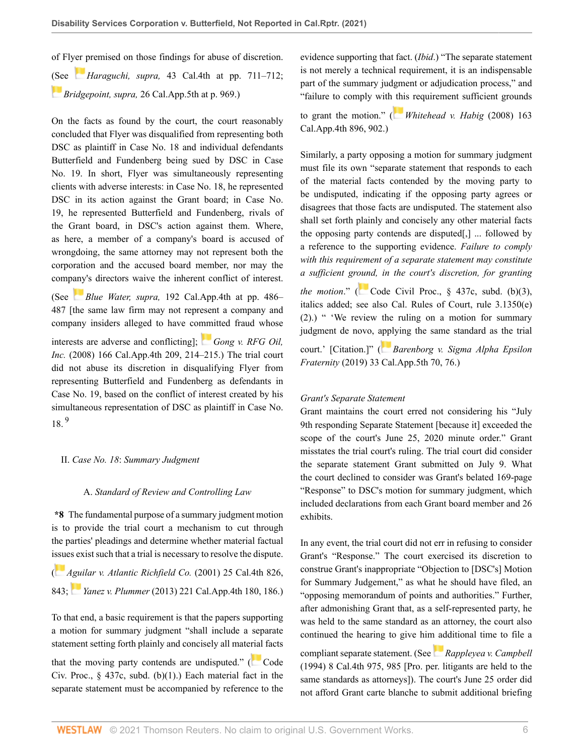of Fl[yer p](https://1.next.westlaw.com/Link/RelatedInformation/Flag?documentGuid=I69bf722b203611dd9876f446780b7bdc&transitionType=InlineKeyCiteFlags&originationContext=docHeaderFlag&Rank=0&contextData=(sc.Default) )remised on those findings for abuse of discretion. [\(Se](https://1.next.westlaw.com/Link/RelatedInformation/Flag?documentGuid=Ib2c09a70b09611e8943bb2cb5f7224e8&transitionType=InlineKeyCiteFlags&originationContext=docHeaderFlag&Rank=0&contextData=(sc.Default) )e *Haraguchi, supra,* [43 Cal.4th at pp. 711–712](http://www.westlaw.com/Link/Document/FullText?findType=Y&serNum=2015992814&pubNum=0004040&originatingDoc=I61d52a00a22d11ebb59191cef82ec18e&refType=RP&fi=co_pp_sp_4040_711&originationContext=document&vr=3.0&rs=cblt1.0&transitionType=DocumentItem&contextData=(sc.Default)#co_pp_sp_4040_711); *Bridgepoint, supra,* [26 Cal.App.5th at p. 969.](http://www.westlaw.com/Link/Document/FullText?findType=Y&serNum=2045427088&pubNum=0007053&originatingDoc=I61d52a00a22d11ebb59191cef82ec18e&refType=RP&fi=co_pp_sp_7053_969&originationContext=document&vr=3.0&rs=cblt1.0&transitionType=DocumentItem&contextData=(sc.Default)#co_pp_sp_7053_969))

On the facts as found by the court, the court reasonably concluded that Flyer was disqualified from representing both DSC as plaintiff in Case No. 18 and individual defendants Butterfield and Fundenberg being sued by DSC in Case No. 19. In short, Flyer was simultaneously representing clients with adverse interests: in Case No. 18, he represented DSC in its action against the Grant board; in Case No. 19, he represented Butterfield and Fundenberg, rivals of the Grant board, in DSC's action against them. Where, as here, a member of a company's board is accused of wrongdoing, the same attorney may not represent both the corporation and the accused board member, nor may the comp[any](https://1.next.westlaw.com/Link/RelatedInformation/Flag?documentGuid=I1cb857b62ee011e088699d6fd571daba&transitionType=InlineKeyCiteFlags&originationContext=docHeaderFlag&Rank=0&contextData=(sc.Default) )'s directors waive the inherent conflict of interest.

(See *Blue Water, supra,* [192 Cal.App.4th at pp. 486–](http://www.westlaw.com/Link/Document/FullText?findType=Y&serNum=2024514526&pubNum=0004041&originatingDoc=I61d52a00a22d11ebb59191cef82ec18e&refType=RP&fi=co_pp_sp_4041_486&originationContext=document&vr=3.0&rs=cblt1.0&transitionType=DocumentItem&contextData=(sc.Default)#co_pp_sp_4041_486) [487](http://www.westlaw.com/Link/Document/FullText?findType=Y&serNum=2024514526&pubNum=0004041&originatingDoc=I61d52a00a22d11ebb59191cef82ec18e&refType=RP&fi=co_pp_sp_4041_486&originationContext=document&vr=3.0&rs=cblt1.0&transitionType=DocumentItem&contextData=(sc.Default)#co_pp_sp_4041_486) [the same law firm may not represent a company and company insiders alleged to have co[mmi](https://1.next.westlaw.com/Link/RelatedInformation/Flag?documentGuid=I2e96bb575efd11dd9876f446780b7bdc&transitionType=InlineKeyCiteFlags&originationContext=docHeaderFlag&Rank=0&contextData=(sc.Default) )tted fraud whose

interests are adverse and conflicting]; *[Gong v. RFG Oil,](http://www.westlaw.com/Link/Document/FullText?findType=Y&serNum=2016650330&pubNum=0004041&originatingDoc=I61d52a00a22d11ebb59191cef82ec18e&refType=RP&fi=co_pp_sp_4041_214&originationContext=document&vr=3.0&rs=cblt1.0&transitionType=DocumentItem&contextData=(sc.Default)#co_pp_sp_4041_214) Inc.* [\(2008\) 166 Cal.App.4th 209, 214–215](http://www.westlaw.com/Link/Document/FullText?findType=Y&serNum=2016650330&pubNum=0004041&originatingDoc=I61d52a00a22d11ebb59191cef82ec18e&refType=RP&fi=co_pp_sp_4041_214&originationContext=document&vr=3.0&rs=cblt1.0&transitionType=DocumentItem&contextData=(sc.Default)#co_pp_sp_4041_214).) The trial court did not abuse its discretion in disqualifying Flyer from representing Butterfield and Fundenberg as defendants in Case No. 19, based on the conflict of interest created by his simultaneous representation of DSC as plaintiff in Case No.  $18^{9}$  $18^{9}$  $18^{9}$ 

# <span id="page-5-0"></span>II. *Case No. 18*: *Summary Judgment*

# A. *Standard of Review and Controlling Law*

**\*8** The fundamental purpose of a summary judgment motion is to provide the trial court a mechanism to cut through the parties' pleadings and determine whether material factual i[ssue](https://1.next.westlaw.com/Link/RelatedInformation/Flag?documentGuid=Iee8b473ffab511d9bf60c1d57ebc853e&transitionType=InlineKeyCiteFlags&originationContext=docHeaderFlag&Rank=0&contextData=(sc.Default) )s exist such that a trial is necessary to resolve the dispute.

( *[Aguilar v. Atlantic Richfield Co.](http://www.westlaw.com/Link/Document/FullText?findType=Y&serNum=2001516569&pubNum=0004040&originatingDoc=I61d52a00a22d11ebb59191cef82ec18e&refType=RP&fi=co_pp_sp_4040_843&originationContext=document&vr=3.0&rs=cblt1.0&transitionType=DocumentItem&contextData=(sc.Default)#co_pp_sp_4040_843)* (2001) 25 Cal.4th 826, [843](http://www.westlaw.com/Link/Document/FullText?findType=Y&serNum=2001516569&pubNum=0004040&originatingDoc=I61d52a00a22d11ebb59191cef82ec18e&refType=RP&fi=co_pp_sp_4040_843&originationContext=document&vr=3.0&rs=cblt1.0&transitionType=DocumentItem&contextData=(sc.Default)#co_pp_sp_4040_843); *Yanez v. Plummer* [\(2013\) 221 Cal.App.4th 180, 186](http://www.westlaw.com/Link/Document/FullText?findType=Y&serNum=2031905060&pubNum=0004041&originatingDoc=I61d52a00a22d11ebb59191cef82ec18e&refType=RP&fi=co_pp_sp_4041_186&originationContext=document&vr=3.0&rs=cblt1.0&transitionType=DocumentItem&contextData=(sc.Default)#co_pp_sp_4041_186).)

To that end, a basic requirement is that the papers supporting a motion for summary judgment "shall include a separate statement setting forth plainly and concisely all mate[rial](https://1.next.westlaw.com/Link/RelatedInformation/Flag?documentGuid=NA59AE110851F11E6B40FA6262051C5AD&transitionType=InlineKeyCiteFlags&originationContext=docHeaderFlag&Rank=0&contextData=(sc.Default) ) facts

that the moving party contends are undisputed." ( $\sim$  [Code](http://www.westlaw.com/Link/Document/FullText?findType=L&pubNum=1000201&cite=CACPS437C&originatingDoc=I61d52a00a22d11ebb59191cef82ec18e&refType=SP&originationContext=document&vr=3.0&rs=cblt1.0&transitionType=DocumentItem&contextData=(sc.Default)#co_pp_3fed000053a85) Civ. Proc.,  $\S$  437c, subd. (b)(1).) Each material fact in the separate statement must be accompanied by reference to the evidence supporting that fact. (*Ibid*.) "The separate statement is not merely a technical requirement, it is an indispensable part of the summary judgment or adjudication process," and "failure to comply with [thi](https://1.next.westlaw.com/Link/RelatedInformation/Flag?documentGuid=I3038fa112ceb11ddb6a3a099756c05b7&transitionType=InlineKeyCiteFlags&originationContext=docHeaderFlag&Rank=0&contextData=(sc.Default) )s requirement sufficient grounds

to grant the motion." ( *[Whitehead v. Habig](http://www.westlaw.com/Link/Document/FullText?findType=Y&serNum=2016192091&pubNum=0004041&originatingDoc=I61d52a00a22d11ebb59191cef82ec18e&refType=RP&fi=co_pp_sp_4041_902&originationContext=document&vr=3.0&rs=cblt1.0&transitionType=DocumentItem&contextData=(sc.Default)#co_pp_sp_4041_902)* (2008) 163 [Cal.App.4th 896, 902](http://www.westlaw.com/Link/Document/FullText?findType=Y&serNum=2016192091&pubNum=0004041&originatingDoc=I61d52a00a22d11ebb59191cef82ec18e&refType=RP&fi=co_pp_sp_4041_902&originationContext=document&vr=3.0&rs=cblt1.0&transitionType=DocumentItem&contextData=(sc.Default)#co_pp_sp_4041_902).)

Similarly, a party opposing a motion for summary judgment must file its own "separate statement that responds to each of the material facts contended by the moving party to be undisputed, indicating if the opposing party agrees or disagrees that those facts are undisputed. The statement also shall set forth plainly and concisely any other material facts the opposing party contends are disputed[,] ... followed by a reference to the supporting evidence. *Failure to comply with this requirement of a separate statement may constitute a sufficient gr[oun](https://1.next.westlaw.com/Link/RelatedInformation/Flag?documentGuid=NA59AE110851F11E6B40FA6262051C5AD&transitionType=InlineKeyCiteFlags&originationContext=docHeaderFlag&Rank=0&contextData=(sc.Default) )d, in the court's discretion, for granting the motion.*" ( Code Civil Proc.,  $\S$  437c, subd. (b)(3), italics added; see also [Cal. Rules of Court, rule 3.1350\(e\)](http://www.westlaw.com/Link/Document/FullText?findType=L&pubNum=1085226&cite=CASTCIVLR3.1350&originatingDoc=I61d52a00a22d11ebb59191cef82ec18e&refType=SP&originationContext=document&vr=3.0&rs=cblt1.0&transitionType=DocumentItem&contextData=(sc.Default)#co_pp_1184000067914) [\(2\).](http://www.westlaw.com/Link/Document/FullText?findType=L&pubNum=1085226&cite=CASTCIVLR3.1350&originatingDoc=I61d52a00a22d11ebb59191cef82ec18e&refType=SP&originationContext=document&vr=3.0&rs=cblt1.0&transitionType=DocumentItem&contextData=(sc.Default)#co_pp_1184000067914)) " 'We review the ruling on a motion for summary

court.' [Citation.]" ( *[Barenborg v. Sigma Alpha Epsilon](http://www.westlaw.com/Link/Document/FullText?findType=Y&serNum=2047802026&pubNum=0007053&originatingDoc=I61d52a00a22d11ebb59191cef82ec18e&refType=RP&fi=co_pp_sp_7053_76&originationContext=document&vr=3.0&rs=cblt1.0&transitionType=DocumentItem&contextData=(sc.Default)#co_pp_sp_7053_76) Fraternity* [\(2019\) 33 Cal.App.5th 70, 76.](http://www.westlaw.com/Link/Document/FullText?findType=Y&serNum=2047802026&pubNum=0007053&originatingDoc=I61d52a00a22d11ebb59191cef82ec18e&refType=RP&fi=co_pp_sp_7053_76&originationContext=document&vr=3.0&rs=cblt1.0&transitionType=DocumentItem&contextData=(sc.Default)#co_pp_sp_7053_76))

judgment de novo, [appl](https://1.next.westlaw.com/Link/RelatedInformation/Flag?documentGuid=I54efe9f04aa111e9bb0cd983136a9739&transitionType=InlineKeyCiteFlags&originationContext=docHeaderFlag&Rank=0&contextData=(sc.Default) )ying the same standard as the trial

# *Grant's Separate Statement*

Grant maintains the court erred not considering his "July 9th responding Separate Statement [because it] exceeded the scope of the court's June 25, 2020 minute order." Grant misstates the trial court's ruling. The trial court did consider the separate statement Grant submitted on July 9. What the court declined to consider was Grant's belated 169-page "Response" to DSC's motion for summary judgment, which included declarations from each Grant board member and 26 exhibits.

In any event, the trial court did not err in refusing to consider Grant's "Response." The court exercised its discretion to construe Grant's inappropriate "Objection to [DSC's] Motion for Summary Judgement," as what he should have filed, an "opposing memorandum of points and authorities." Further, after admonishing Grant that, as a self-represented party, he was held to the same standard as an attorney, the court also continued the hearing to give hi[m ad](https://1.next.westlaw.com/Link/RelatedInformation/Flag?documentGuid=Ica29fa35faba11d983e7e9deff98dc6f&transitionType=InlineKeyCiteFlags&originationContext=docHeaderFlag&Rank=0&contextData=(sc.Default) )ditional time to file a

compliant separate statement. (See *[Rappleyea v. Campbell](http://www.westlaw.com/Link/Document/FullText?findType=Y&serNum=1994238023&pubNum=0004040&originatingDoc=I61d52a00a22d11ebb59191cef82ec18e&refType=RP&fi=co_pp_sp_4040_985&originationContext=document&vr=3.0&rs=cblt1.0&transitionType=DocumentItem&contextData=(sc.Default)#co_pp_sp_4040_985)* [\(1994\) 8 Cal.4th 975, 985](http://www.westlaw.com/Link/Document/FullText?findType=Y&serNum=1994238023&pubNum=0004040&originatingDoc=I61d52a00a22d11ebb59191cef82ec18e&refType=RP&fi=co_pp_sp_4040_985&originationContext=document&vr=3.0&rs=cblt1.0&transitionType=DocumentItem&contextData=(sc.Default)#co_pp_sp_4040_985) [Pro. per. litigants are held to the same standards as attorneys]). The court's June 25 order did not afford Grant carte blanche to submit additional briefing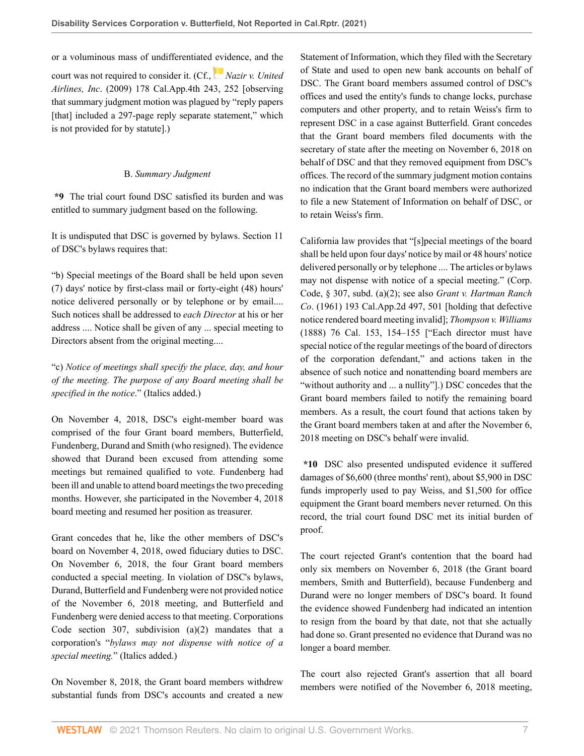or a voluminous mass of undifferentiated [evi](https://1.next.westlaw.com/Link/RelatedInformation/Flag?documentGuid=I915d4f73b53111de9988d233d23fe599&transitionType=InlineKeyCiteFlags&originationContext=docHeaderFlag&Rank=0&contextData=(sc.Default) )dence, and the court was not required to consider it. (Cf., *[Nazir v. United](http://www.westlaw.com/Link/Document/FullText?findType=Y&serNum=2020068102&pubNum=0004041&originatingDoc=I61d52a00a22d11ebb59191cef82ec18e&refType=RP&fi=co_pp_sp_4041_252&originationContext=document&vr=3.0&rs=cblt1.0&transitionType=DocumentItem&contextData=(sc.Default)#co_pp_sp_4041_252) Airlines, Inc*[. \(2009\) 178 Cal.App.4th 243, 252](http://www.westlaw.com/Link/Document/FullText?findType=Y&serNum=2020068102&pubNum=0004041&originatingDoc=I61d52a00a22d11ebb59191cef82ec18e&refType=RP&fi=co_pp_sp_4041_252&originationContext=document&vr=3.0&rs=cblt1.0&transitionType=DocumentItem&contextData=(sc.Default)#co_pp_sp_4041_252) [observing that summary judgment motion was plagued by "reply papers [that] included a 297-page reply separate statement," which is not provided for by statute].)

# B. *Summary Judgment*

**\*9** The trial court found DSC satisfied its burden and was entitled to summary judgment based on the following.

It is undisputed that DSC is governed by bylaws. Section 11 of DSC's bylaws requires that:

"b) Special meetings of the Board shall be held upon seven (7) days' notice by first-class mail or forty-eight (48) hours' notice delivered personally or by telephone or by email.... Such notices shall be addressed to *each Director* at his or her address .... Notice shall be given of any ... special meeting to Directors absent from the original meeting....

"c) *Notice of meetings shall specify the place, day, and hour of the meeting. The purpose of any Board meeting shall be specified in the notice*." (Italics added.)

On November 4, 2018, DSC's eight-member board was comprised of the four Grant board members, Butterfield, Fundenberg, Durand and Smith (who resigned). The evidence showed that Durand been excused from attending some meetings but remained qualified to vote. Fundenberg had been ill and unable to attend board meetings the two preceding months. However, she participated in the November 4, 2018 board meeting and resumed her position as treasurer.

Grant concedes that he, like the other members of DSC's board on November 4, 2018, owed fiduciary duties to DSC. On November 6, 2018, the four Grant board members conducted a special meeting. In violation of DSC's bylaws, Durand, Butterfield and Fundenberg were not provided notice of the November 6, 2018 meeting, and Butterfield and Fundenberg were denied access to that meeting. [Corporations](http://www.westlaw.com/Link/Document/FullText?findType=L&pubNum=1000204&cite=CACRS307&originatingDoc=I61d52a00a22d11ebb59191cef82ec18e&refType=SP&originationContext=document&vr=3.0&rs=cblt1.0&transitionType=DocumentItem&contextData=(sc.Default)#co_pp_d86d0000be040) [Code section 307, subdivision \(a\)\(2\)](http://www.westlaw.com/Link/Document/FullText?findType=L&pubNum=1000204&cite=CACRS307&originatingDoc=I61d52a00a22d11ebb59191cef82ec18e&refType=SP&originationContext=document&vr=3.0&rs=cblt1.0&transitionType=DocumentItem&contextData=(sc.Default)#co_pp_d86d0000be040) mandates that a corporation's "*bylaws may not dispense with notice of a special meeting.*" (Italics added.)

On November 8, 2018, the Grant board members withdrew substantial funds from DSC's accounts and created a new Statement of Information, which they filed with the Secretary of State and used to open new bank accounts on behalf of DSC. The Grant board members assumed control of DSC's offices and used the entity's funds to change locks, purchase computers and other property, and to retain Weiss's firm to represent DSC in a case against Butterfield. Grant concedes that the Grant board members filed documents with the secretary of state after the meeting on November 6, 2018 on behalf of DSC and that they removed equipment from DSC's offices. The record of the summary judgment motion contains no indication that the Grant board members were authorized to file a new Statement of Information on behalf of DSC, or to retain Weiss's firm.

California law provides that "[s]pecial meetings of the board shall be held upon four days' notice by mail or 48 hours' notice delivered personally or by telephone .... The articles or bylaws may not dispense with notice of a special meeting." ([Corp.](http://www.westlaw.com/Link/Document/FullText?findType=L&pubNum=1000204&cite=CACRS307&originatingDoc=I61d52a00a22d11ebb59191cef82ec18e&refType=SP&originationContext=document&vr=3.0&rs=cblt1.0&transitionType=DocumentItem&contextData=(sc.Default)#co_pp_d86d0000be040) [Code, § 307, subd. \(a\)\(2\)](http://www.westlaw.com/Link/Document/FullText?findType=L&pubNum=1000204&cite=CACRS307&originatingDoc=I61d52a00a22d11ebb59191cef82ec18e&refType=SP&originationContext=document&vr=3.0&rs=cblt1.0&transitionType=DocumentItem&contextData=(sc.Default)#co_pp_d86d0000be040); see also *[Grant v. Hartman Ranch](http://www.westlaw.com/Link/Document/FullText?findType=Y&serNum=1961108880&pubNum=0000225&originatingDoc=I61d52a00a22d11ebb59191cef82ec18e&refType=RP&fi=co_pp_sp_225_501&originationContext=document&vr=3.0&rs=cblt1.0&transitionType=DocumentItem&contextData=(sc.Default)#co_pp_sp_225_501) Co*[. \(1961\) 193 Cal.App.2d 497, 501](http://www.westlaw.com/Link/Document/FullText?findType=Y&serNum=1961108880&pubNum=0000225&originatingDoc=I61d52a00a22d11ebb59191cef82ec18e&refType=RP&fi=co_pp_sp_225_501&originationContext=document&vr=3.0&rs=cblt1.0&transitionType=DocumentItem&contextData=(sc.Default)#co_pp_sp_225_501) [holding that defective notice rendered board meeting invalid]; *[Thompson v. Williams](http://www.westlaw.com/Link/Document/FullText?findType=Y&serNum=1888002742&pubNum=0000220&originatingDoc=I61d52a00a22d11ebb59191cef82ec18e&refType=RP&fi=co_pp_sp_220_154&originationContext=document&vr=3.0&rs=cblt1.0&transitionType=DocumentItem&contextData=(sc.Default)#co_pp_sp_220_154)* [\(1888\) 76 Cal. 153, 154–155](http://www.westlaw.com/Link/Document/FullText?findType=Y&serNum=1888002742&pubNum=0000220&originatingDoc=I61d52a00a22d11ebb59191cef82ec18e&refType=RP&fi=co_pp_sp_220_154&originationContext=document&vr=3.0&rs=cblt1.0&transitionType=DocumentItem&contextData=(sc.Default)#co_pp_sp_220_154) ["Each director must have special notice of the regular meetings of the board of directors of the corporation defendant," and actions taken in the absence of such notice and nonattending board members are "without authority and ... a nullity"].) DSC concedes that the Grant board members failed to notify the remaining board members. As a result, the court found that actions taken by the Grant board members taken at and after the November 6, 2018 meeting on DSC's behalf were invalid.

**\*10** DSC also presented undisputed evidence it suffered damages of \$6,600 (three months' rent), about \$5,900 in DSC funds improperly used to pay Weiss, and \$1,500 for office equipment the Grant board members never returned. On this record, the trial court found DSC met its initial burden of proof.

The court rejected Grant's contention that the board had only six members on November 6, 2018 (the Grant board members, Smith and Butterfield), because Fundenberg and Durand were no longer members of DSC's board. It found the evidence showed Fundenberg had indicated an intention to resign from the board by that date, not that she actually had done so. Grant presented no evidence that Durand was no longer a board member.

The court also rejected Grant's assertion that all board members were notified of the November 6, 2018 meeting,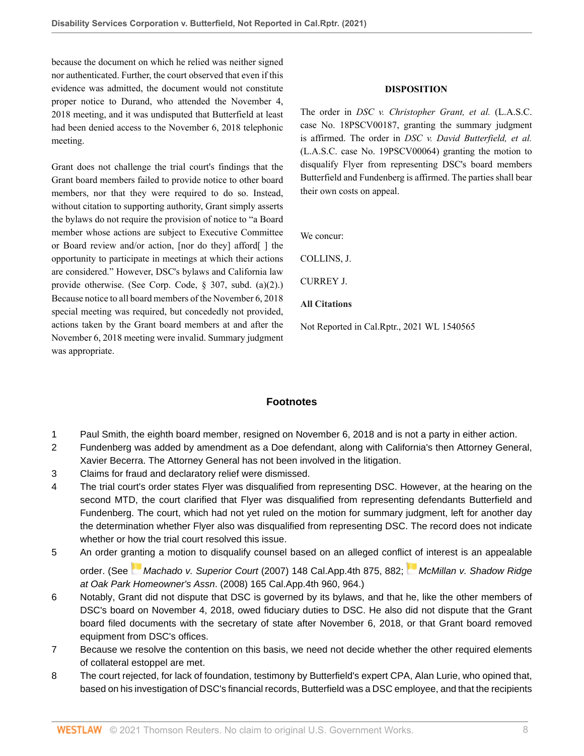because the document on which he relied was neither signed nor authenticated. Further, the court observed that even if this evidence was admitted, the document would not constitute proper notice to Durand, who attended the November 4, 2018 meeting, and it was undisputed that Butterfield at least had been denied access to the November 6, 2018 telephonic meeting.

Grant does not challenge the trial court's findings that the Grant board members failed to provide notice to other board members, nor that they were required to do so. Instead, without citation to supporting authority, Grant simply asserts the bylaws do not require the provision of notice to "a Board member whose actions are subject to Executive Committee or Board review and/or action, [nor do they] afford[ ] the opportunity to participate in meetings at which their actions are considered." However, DSC's bylaws and California law provide otherwise. (See [Corp. Code, § 307, subd. \(a\)\(2\)](http://www.westlaw.com/Link/Document/FullText?findType=L&pubNum=1000204&cite=CACRS307&originatingDoc=I61d52a00a22d11ebb59191cef82ec18e&refType=SP&originationContext=document&vr=3.0&rs=cblt1.0&transitionType=DocumentItem&contextData=(sc.Default)#co_pp_d86d0000be040).) Because notice to all board members of the November 6, 2018 special meeting was required, but concededly not provided, actions taken by the Grant board members at and after the November 6, 2018 meeting were invalid. Summary judgment was appropriate.

# **DISPOSITION**

The order in *DSC v. Christopher Grant, et al.* (L.A.S.C. case No. 18PSCV00187, granting the summary judgment is affirmed. The order in *DSC v. David Butterfield, et al.* (L.A.S.C. case No. 19PSCV00064) granting the motion to disqualify Flyer from representing DSC's board members Butterfield and Fundenberg is affirmed. The parties shall bear their own costs on appeal.

We concur:

[COLLINS](http://www.westlaw.com/Link/Document/FullText?findType=h&pubNum=176284&cite=0120862201&originatingDoc=I61d52a00a22d11ebb59191cef82ec18e&refType=RQ&originationContext=document&vr=3.0&rs=cblt1.0&transitionType=DocumentItem&contextData=(sc.Default)), J.

CURREY J.

**All Citations**

Not Reported in Cal.Rptr., 2021 WL 1540565

# **Footnotes**

- <span id="page-7-0"></span>[1](#page-1-0) Paul Smith, the eighth board member, resigned on November 6, 2018 and is not a party in either action.
- <span id="page-7-1"></span>[2](#page-1-1) Fundenberg was added by amendment as a Doe defendant, along with California's then Attorney General, Xavier Becerra. The Attorney General has not been involved in the litigation.
- <span id="page-7-2"></span>[3](#page-1-2) Claims for fraud and declaratory relief were dismissed.
- <span id="page-7-3"></span>[4](#page-2-0) The trial court's order states Flyer was disqualified from representing DSC. However, at the hearing on the second MTD, the court clarified that Flyer was disqualified from representing defendants Butterfield and Fundenberg. The court, which had not yet ruled on the motion for summary judgment, left for another day the determination whether Flyer also was disqualified from representing DSC. The record does not indicate whether or how the trial court resolved this issue.
- <span id="page-7-4"></span>[5](#page-2-1) An order gr[anti](https://1.next.westlaw.com/Link/RelatedInformation/Flag?documentGuid=Ib32553f5d73811dbafc6849dc347959a&transitionType=InlineKeyCiteFlags&originationContext=docHeaderFlag&Rank=0&contextData=(sc.Default) )ng a motion to disqualify counsel based on an alleged confli[ct o](https://1.next.westlaw.com/Link/RelatedInformation/Flag?documentGuid=I20fb703e621411ddb7e583ba170699a5&transitionType=InlineKeyCiteFlags&originationContext=docHeaderFlag&Rank=0&contextData=(sc.Default) )f interest is an appealable order. (See Machado v. Superior Court [\(2007\) 148 Cal.App.4th 875, 882](http://www.westlaw.com/Link/Document/FullText?findType=Y&serNum=2011727543&pubNum=0004041&originatingDoc=I61d52a00a22d11ebb59191cef82ec18e&refType=RP&fi=co_pp_sp_4041_882&originationContext=document&vr=3.0&rs=cblt1.0&transitionType=DocumentItem&contextData=(sc.Default)#co_pp_sp_4041_882); [McMillan v. Shadow Ridge](http://www.westlaw.com/Link/Document/FullText?findType=Y&serNum=2016676837&pubNum=0004041&originatingDoc=I61d52a00a22d11ebb59191cef82ec18e&refType=RP&fi=co_pp_sp_4041_964&originationContext=document&vr=3.0&rs=cblt1.0&transitionType=DocumentItem&contextData=(sc.Default)#co_pp_sp_4041_964) at Oak Park Homeowner's Assn[. \(2008\) 165 Cal.App.4th 960, 964](http://www.westlaw.com/Link/Document/FullText?findType=Y&serNum=2016676837&pubNum=0004041&originatingDoc=I61d52a00a22d11ebb59191cef82ec18e&refType=RP&fi=co_pp_sp_4041_964&originationContext=document&vr=3.0&rs=cblt1.0&transitionType=DocumentItem&contextData=(sc.Default)#co_pp_sp_4041_964).)
- <span id="page-7-5"></span>[6](#page-3-0) Notably, Grant did not dispute that DSC is governed by its bylaws, and that he, like the other members of DSC's board on November 4, 2018, owed fiduciary duties to DSC. He also did not dispute that the Grant board filed documents with the secretary of state after November 6, 2018, or that Grant board removed equipment from DSC's offices.
- <span id="page-7-6"></span>[7](#page-4-0) Because we resolve the contention on this basis, we need not decide whether the other required elements of collateral estoppel are met.
- <span id="page-7-7"></span>[8](#page-4-1) The court rejected, for lack of foundation, testimony by Butterfield's expert CPA, Alan Lurie, who opined that, based on his investigation of DSC's financial records, Butterfield was a DSC employee, and that the recipients